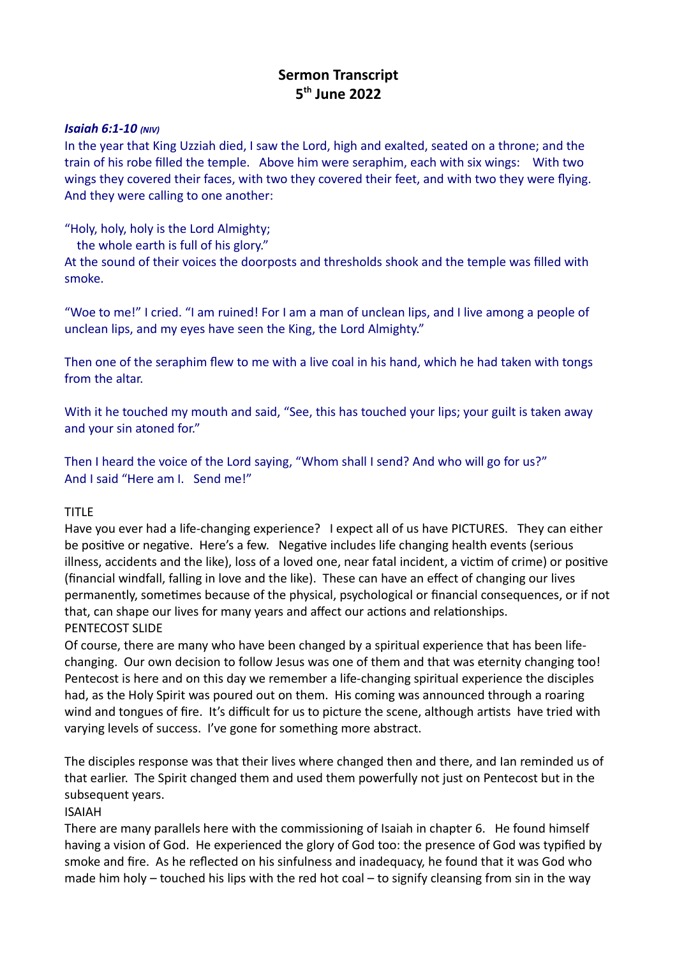# **Sermon Transcript 5 th June 2022**

#### *Isaiah 6:1-10 (NIV)*

In the year that King Uzziah died, I saw the Lord, high and exalted, seated on a throne; and the train of his robe filled the temple. Above him were seraphim, each with six wings: With two wings they covered their faces, with two they covered their feet, and with two they were flying. And they were calling to one another:

"Holy, holy, holy is the Lord Almighty;

the whole earth is full of his glory."

At the sound of their voices the doorposts and thresholds shook and the temple was filled with smoke.

"Woe to me!" I cried. "I am ruined! For I am a man of unclean lips, and I live among a people of unclean lips, and my eyes have seen the King, the Lord Almighty."

Then one of the seraphim flew to me with a live coal in his hand, which he had taken with tongs from the altar.

With it he touched my mouth and said, "See, this has touched your lips; your guilt is taken away and your sin atoned for."

Then I heard the voice of the Lord saying, "Whom shall I send? And who will go for us?" And I said "Here am I. Send me!"

#### TITLE

Have you ever had a life-changing experience? I expect all of us have PICTURES. They can either be positive or negative. Here's a few. Negative includes life changing health events (serious illness, accidents and the like), loss of a loved one, near fatal incident, a victim of crime) or positive (financial windfall, falling in love and the like). These can have an effect of changing our lives permanently, sometimes because of the physical, psychological or financial consequences, or if not that, can shape our lives for many years and affect our actions and relationships. PENTECOST SLIDE

Of course, there are many who have been changed by a spiritual experience that has been lifechanging. Our own decision to follow Jesus was one of them and that was eternity changing too! Pentecost is here and on this day we remember a life-changing spiritual experience the disciples had, as the Holy Spirit was poured out on them. His coming was announced through a roaring wind and tongues of fire. It's difficult for us to picture the scene, although artists have tried with varying levels of success. I've gone for something more abstract.

The disciples response was that their lives where changed then and there, and Ian reminded us of that earlier. The Spirit changed them and used them powerfully not just on Pentecost but in the subsequent years.

#### ISAIAH

There are many parallels here with the commissioning of Isaiah in chapter 6. He found himself having a vision of God. He experienced the glory of God too: the presence of God was typified by smoke and fire. As he reflected on his sinfulness and inadequacy, he found that it was God who made him holy – touched his lips with the red hot coal – to signify cleansing from sin in the way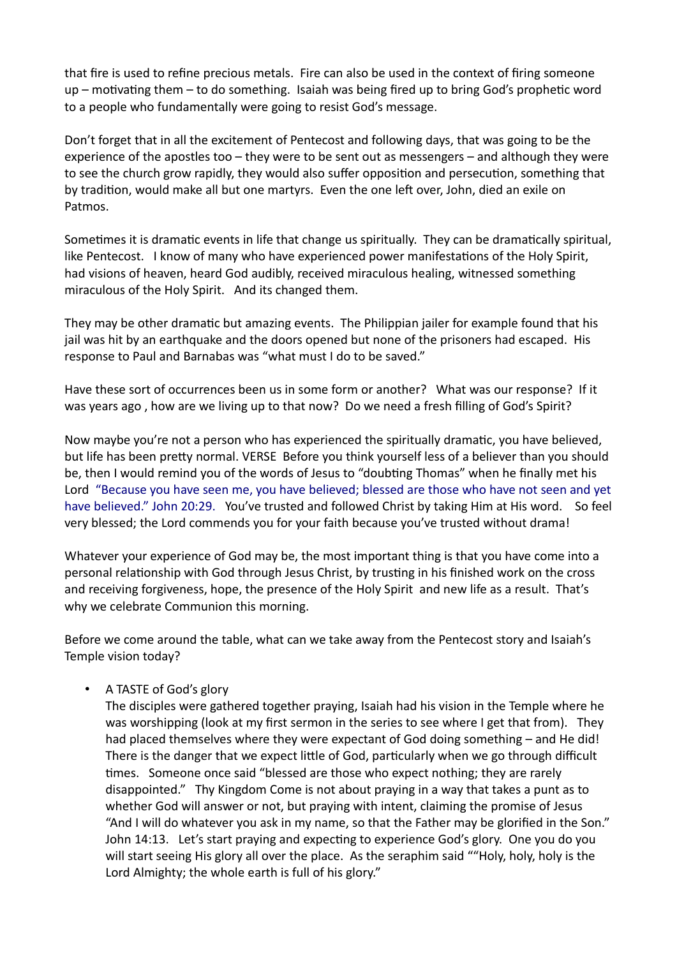that fire is used to refine precious metals. Fire can also be used in the context of firing someone up – motivating them – to do something. Isaiah was being fired up to bring God's prophetic word to a people who fundamentally were going to resist God's message.

Don't forget that in all the excitement of Pentecost and following days, that was going to be the experience of the apostles too – they were to be sent out as messengers – and although they were to see the church grow rapidly, they would also suffer opposition and persecution, something that by tradition, would make all but one martyrs. Even the one left over, John, died an exile on Patmos.

Sometimes it is dramatic events in life that change us spiritually. They can be dramatically spiritual, like Pentecost. I know of many who have experienced power manifestations of the Holy Spirit, had visions of heaven, heard God audibly, received miraculous healing, witnessed something miraculous of the Holy Spirit. And its changed them.

They may be other dramatic but amazing events. The Philippian jailer for example found that his jail was hit by an earthquake and the doors opened but none of the prisoners had escaped. His response to Paul and Barnabas was "what must I do to be saved."

Have these sort of occurrences been us in some form or another? What was our response? If it was years ago , how are we living up to that now? Do we need a fresh filling of God's Spirit?

Now maybe you're not a person who has experienced the spiritually dramatic, you have believed, but life has been pretty normal. VERSE Before you think yourself less of a believer than you should be, then I would remind you of the words of Jesus to "doubting Thomas" when he finally met his Lord "Because you have seen me, you have believed; blessed are those who have not seen and yet have believed." John 20:29. You've trusted and followed Christ by taking Him at His word. So feel very blessed; the Lord commends you for your faith because you've trusted without drama!

Whatever your experience of God may be, the most important thing is that you have come into a personal relationship with God through Jesus Christ, by trusting in his finished work on the cross and receiving forgiveness, hope, the presence of the Holy Spirit and new life as a result. That's why we celebrate Communion this morning.

Before we come around the table, what can we take away from the Pentecost story and Isaiah's Temple vision today?

#### • A TASTE of God's glory

The disciples were gathered together praying, Isaiah had his vision in the Temple where he was worshipping (look at my first sermon in the series to see where I get that from). They had placed themselves where they were expectant of God doing something – and He did! There is the danger that we expect little of God, particularly when we go through difficult times. Someone once said "blessed are those who expect nothing; they are rarely disappointed." Thy Kingdom Come is not about praying in a way that takes a punt as to whether God will answer or not, but praying with intent, claiming the promise of Jesus "And I will do whatever you ask in my name, so that the Father may be glorified in the Son." John 14:13. Let's start praying and expecting to experience God's glory. One you do you will start seeing His glory all over the place. As the seraphim said ""Holy, holy, holy is the Lord Almighty; the whole earth is full of his glory."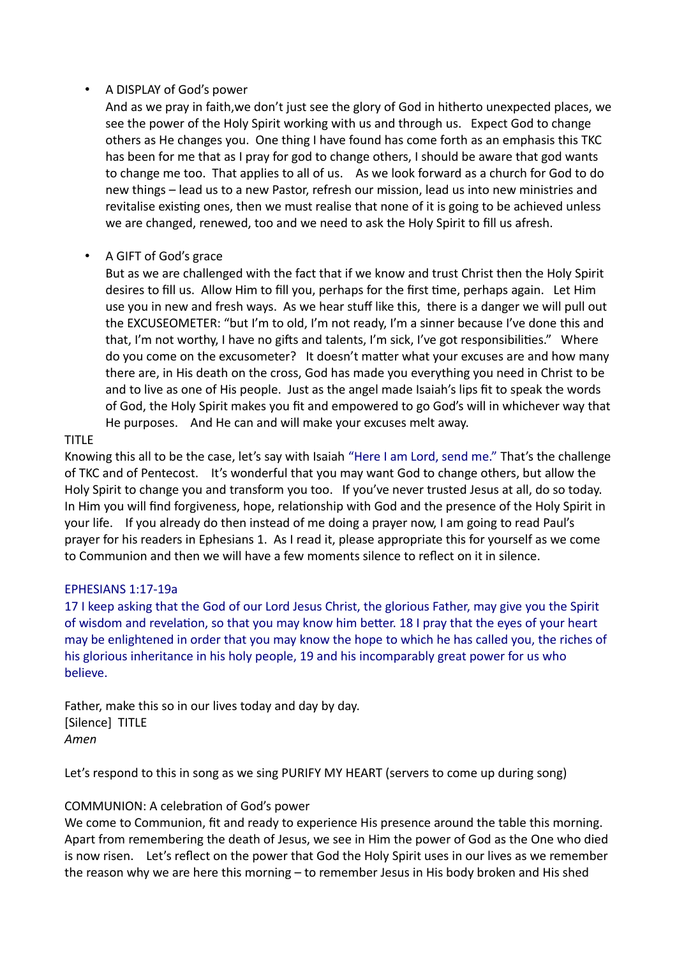## • A DISPLAY of God's power

And as we pray in faith,we don't just see the glory of God in hitherto unexpected places, we see the power of the Holy Spirit working with us and through us. Expect God to change others as He changes you. One thing I have found has come forth as an emphasis this TKC has been for me that as I pray for god to change others, I should be aware that god wants to change me too. That applies to all of us. As we look forward as a church for God to do new things – lead us to a new Pastor, refresh our mission, lead us into new ministries and revitalise existing ones, then we must realise that none of it is going to be achieved unless we are changed, renewed, too and we need to ask the Holy Spirit to fill us afresh.

# • A GIFT of God's grace

But as we are challenged with the fact that if we know and trust Christ then the Holy Spirit desires to fill us. Allow Him to fill you, perhaps for the first time, perhaps again. Let Him use you in new and fresh ways. As we hear stuff like this, there is a danger we will pull out the EXCUSEOMETER: "but I'm to old, I'm not ready, I'm a sinner because I've done this and that, I'm not worthy, I have no gifts and talents, I'm sick, I've got responsibilities." Where do you come on the excusometer? It doesn't matter what your excuses are and how many there are, in His death on the cross, God has made you everything you need in Christ to be and to live as one of His people. Just as the angel made Isaiah's lips fit to speak the words of God, the Holy Spirit makes you fit and empowered to go God's will in whichever way that He purposes. And He can and will make your excuses melt away.

## TITLE

Knowing this all to be the case, let's say with Isaiah "Here I am Lord, send me." That's the challenge of TKC and of Pentecost. It's wonderful that you may want God to change others, but allow the Holy Spirit to change you and transform you too. If you've never trusted Jesus at all, do so today. In Him you will find forgiveness, hope, relationship with God and the presence of the Holy Spirit in your life. If you already do then instead of me doing a prayer now, I am going to read Paul's prayer for his readers in Ephesians 1. As I read it, please appropriate this for yourself as we come to Communion and then we will have a few moments silence to reflect on it in silence.

#### EPHESIANS 1:17-19a

17 I keep asking that the God of our Lord Jesus Christ, the glorious Father, may give you the Spirit of wisdom and revelation, so that you may know him better. 18 I pray that the eyes of your heart may be enlightened in order that you may know the hope to which he has called you, the riches of his glorious inheritance in his holy people, 19 and his incomparably great power for us who believe.

Father, make this so in our lives today and day by day. [Silence] TITLE *Amen*

Let's respond to this in song as we sing PURIFY MY HEART (servers to come up during song)

# COMMUNION: A celebration of God's power

We come to Communion, fit and ready to experience His presence around the table this morning. Apart from remembering the death of Jesus, we see in Him the power of God as the One who died is now risen. Let's reflect on the power that God the Holy Spirit uses in our lives as we remember the reason why we are here this morning – to remember Jesus in His body broken and His shed